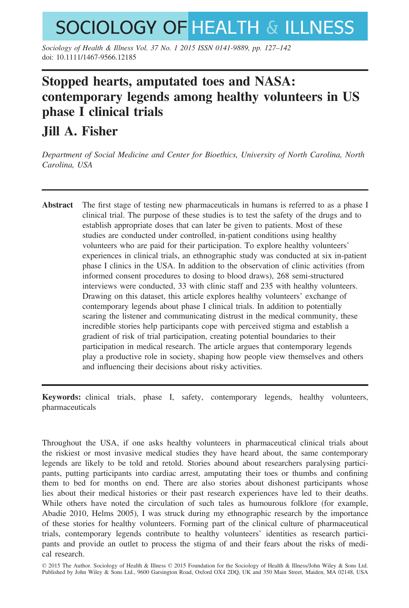# **SOCIOLOGY OF HEALTH & ILLNESS**

Sociology of Health & Illness Vol. 37 No. 1 2015 ISSN 0141-9889, pp. 127–142 doi: 10.1111/1467-9566.12185

# Stopped hearts, amputated toes and NASA: contemporary legends among healthy volunteers in US phase I clinical trials

# Jill A. Fisher

Department of Social Medicine and Center for Bioethics, University of North Carolina, North Carolina, USA

Abstract The first stage of testing new pharmaceuticals in humans is referred to as a phase I clinical trial. The purpose of these studies is to test the safety of the drugs and to establish appropriate doses that can later be given to patients. Most of these studies are conducted under controlled, in-patient conditions using healthy volunteers who are paid for their participation. To explore healthy volunteers' experiences in clinical trials, an ethnographic study was conducted at six in-patient phase I clinics in the USA. In addition to the observation of clinic activities (from informed consent procedures to dosing to blood draws), 268 semi-structured interviews were conducted, 33 with clinic staff and 235 with healthy volunteers. Drawing on this dataset, this article explores healthy volunteers' exchange of contemporary legends about phase I clinical trials. In addition to potentially scaring the listener and communicating distrust in the medical community, these incredible stories help participants cope with perceived stigma and establish a gradient of risk of trial participation, creating potential boundaries to their participation in medical research. The article argues that contemporary legends play a productive role in society, shaping how people view themselves and others and influencing their decisions about risky activities.

Keywords: clinical trials, phase I, safety, contemporary legends, healthy volunteers, pharmaceuticals

Throughout the USA, if one asks healthy volunteers in pharmaceutical clinical trials about the riskiest or most invasive medical studies they have heard about, the same contemporary legends are likely to be told and retold. Stories abound about researchers paralysing participants, putting participants into cardiac arrest, amputating their toes or thumbs and confining them to bed for months on end. There are also stories about dishonest participants whose lies about their medical histories or their past research experiences have led to their deaths. While others have noted the circulation of such tales as humourous folklore (for example, Abadie 2010, Helms 2005), I was struck during my ethnographic research by the importance of these stories for healthy volunteers. Forming part of the clinical culture of pharmaceutical trials, contemporary legends contribute to healthy volunteers' identities as research participants and provide an outlet to process the stigma of and their fears about the risks of medical research.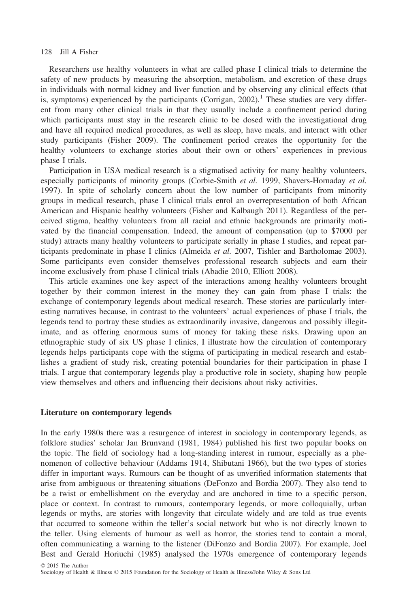Researchers use healthy volunteers in what are called phase I clinical trials to determine the safety of new products by measuring the absorption, metabolism, and excretion of these drugs in individuals with normal kidney and liver function and by observing any clinical effects (that is, symptoms) experienced by the participants (Corrigan,  $2002$ ).<sup>1</sup> These studies are very different from many other clinical trials in that they usually include a confinement period during which participants must stay in the research clinic to be dosed with the investigational drug and have all required medical procedures, as well as sleep, have meals, and interact with other study participants (Fisher 2009). The confinement period creates the opportunity for the healthy volunteers to exchange stories about their own or others' experiences in previous phase I trials.

Participation in USA medical research is a stigmatised activity for many healthy volunteers, especially participants of minority groups (Corbie-Smith et al. 1999, Shavers-Hornaday et al. 1997). In spite of scholarly concern about the low number of participants from minority groups in medical research, phase I clinical trials enrol an overrepresentation of both African American and Hispanic healthy volunteers (Fisher and Kalbaugh 2011). Regardless of the perceived stigma, healthy volunteers from all racial and ethnic backgrounds are primarily motivated by the financial compensation. Indeed, the amount of compensation (up to \$7000 per study) attracts many healthy volunteers to participate serially in phase I studies, and repeat participants predominate in phase I clinics (Almeida et al. 2007, Tishler and Bartholomae 2003). Some participants even consider themselves professional research subjects and earn their income exclusively from phase I clinical trials (Abadie 2010, Elliott 2008).

This article examines one key aspect of the interactions among healthy volunteers brought together by their common interest in the money they can gain from phase I trials: the exchange of contemporary legends about medical research. These stories are particularly interesting narratives because, in contrast to the volunteers' actual experiences of phase I trials, the legends tend to portray these studies as extraordinarily invasive, dangerous and possibly illegitimate, and as offering enormous sums of money for taking these risks. Drawing upon an ethnographic study of six US phase I clinics, I illustrate how the circulation of contemporary legends helps participants cope with the stigma of participating in medical research and establishes a gradient of study risk, creating potential boundaries for their participation in phase I trials. I argue that contemporary legends play a productive role in society, shaping how people view themselves and others and influencing their decisions about risky activities.

#### Literature on contemporary legends

In the early 1980s there was a resurgence of interest in sociology in contemporary legends, as folklore studies' scholar Jan Brunvand (1981, 1984) published his first two popular books on the topic. The field of sociology had a long-standing interest in rumour, especially as a phenomenon of collective behaviour (Addams 1914, Shibutani 1966), but the two types of stories differ in important ways. Rumours can be thought of as unverified information statements that arise from ambiguous or threatening situations (DeFonzo and Bordia 2007). They also tend to be a twist or embellishment on the everyday and are anchored in time to a specific person, place or context. In contrast to rumours, contemporary legends, or more colloquially, urban legends or myths, are stories with longevity that circulate widely and are told as true events that occurred to someone within the teller's social network but who is not directly known to the teller. Using elements of humour as well as horror, the stories tend to contain a moral, often communicating a warning to the listener (DiFonzo and Bordia 2007). For example, Joel Best and Gerald Horiuchi (1985) analysed the 1970s emergence of contemporary legends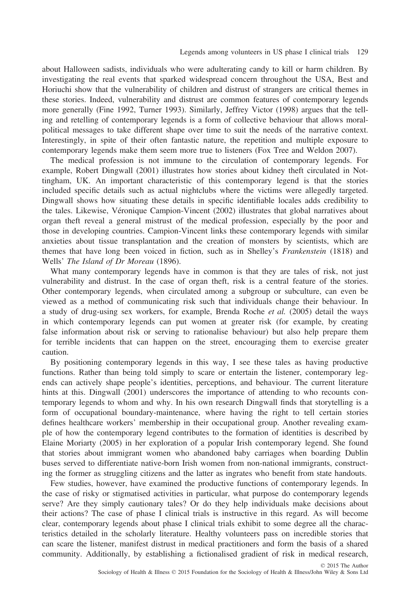about Halloween sadists, individuals who were adulterating candy to kill or harm children. By investigating the real events that sparked widespread concern throughout the USA, Best and Horiuchi show that the vulnerability of children and distrust of strangers are critical themes in these stories. Indeed, vulnerability and distrust are common features of contemporary legends more generally (Fine 1992, Turner 1993). Similarly, Jeffrey Victor (1998) argues that the telling and retelling of contemporary legends is a form of collective behaviour that allows moralpolitical messages to take different shape over time to suit the needs of the narrative context. Interestingly, in spite of their often fantastic nature, the repetition and multiple exposure to contemporary legends make them seem more true to listeners (Fox Tree and Weldon 2007).

The medical profession is not immune to the circulation of contemporary legends. For example, Robert Dingwall (2001) illustrates how stories about kidney theft circulated in Nottingham, UK. An important characteristic of this contemporary legend is that the stories included specific details such as actual nightclubs where the victims were allegedly targeted. Dingwall shows how situating these details in specific identifiable locales adds credibility to the tales. Likewise, Veronique Campion-Vincent (2002) illustrates that global narratives about organ theft reveal a general mistrust of the medical profession, especially by the poor and those in developing countries. Campion-Vincent links these contemporary legends with similar anxieties about tissue transplantation and the creation of monsters by scientists, which are themes that have long been voiced in fiction, such as in Shelley's Frankenstein (1818) and Wells' The Island of Dr Moreau (1896).

What many contemporary legends have in common is that they are tales of risk, not just vulnerability and distrust. In the case of organ theft, risk is a central feature of the stories. Other contemporary legends, when circulated among a subgroup or subculture, can even be viewed as a method of communicating risk such that individuals change their behaviour. In a study of drug-using sex workers, for example, Brenda Roche et al. (2005) detail the ways in which contemporary legends can put women at greater risk (for example, by creating false information about risk or serving to rationalise behaviour) but also help prepare them for terrible incidents that can happen on the street, encouraging them to exercise greater caution.

By positioning contemporary legends in this way, I see these tales as having productive functions. Rather than being told simply to scare or entertain the listener, contemporary legends can actively shape people's identities, perceptions, and behaviour. The current literature hints at this. Dingwall (2001) underscores the importance of attending to who recounts contemporary legends to whom and why. In his own research Dingwall finds that storytelling is a form of occupational boundary-maintenance, where having the right to tell certain stories defines healthcare workers' membership in their occupational group. Another revealing example of how the contemporary legend contributes to the formation of identities is described by Elaine Moriarty (2005) in her exploration of a popular Irish contemporary legend. She found that stories about immigrant women who abandoned baby carriages when boarding Dublin buses served to differentiate native-born Irish women from non-national immigrants, constructing the former as struggling citizens and the latter as ingrates who benefit from state handouts.

Few studies, however, have examined the productive functions of contemporary legends. In the case of risky or stigmatised activities in particular, what purpose do contemporary legends serve? Are they simply cautionary tales? Or do they help individuals make decisions about their actions? The case of phase I clinical trials is instructive in this regard. As will become clear, contemporary legends about phase I clinical trials exhibit to some degree all the characteristics detailed in the scholarly literature. Healthy volunteers pass on incredible stories that can scare the listener, manifest distrust in medical practitioners and form the basis of a shared community. Additionally, by establishing a fictionalised gradient of risk in medical research,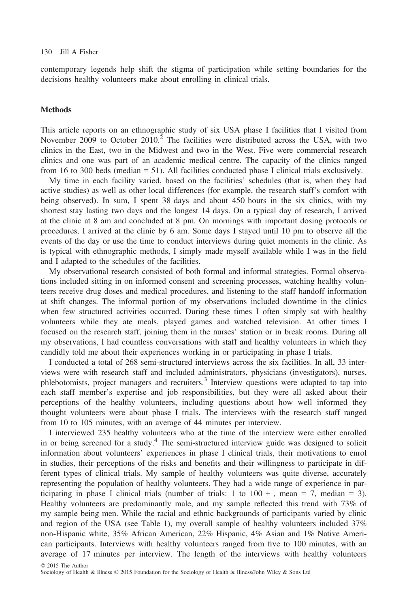contemporary legends help shift the stigma of participation while setting boundaries for the decisions healthy volunteers make about enrolling in clinical trials.

# Methods

This article reports on an ethnographic study of six USA phase I facilities that I visited from November 2009 to October 2010.<sup>2</sup> The facilities were distributed across the USA, with two clinics in the East, two in the Midwest and two in the West. Five were commercial research clinics and one was part of an academic medical centre. The capacity of the clinics ranged from 16 to 300 beds (median  $= 51$ ). All facilities conducted phase I clinical trials exclusively.

My time in each facility varied, based on the facilities' schedules (that is, when they had active studies) as well as other local differences (for example, the research staff's comfort with being observed). In sum, I spent 38 days and about 450 hours in the six clinics, with my shortest stay lasting two days and the longest 14 days. On a typical day of research, I arrived at the clinic at 8 am and concluded at 8 pm. On mornings with important dosing protocols or procedures, I arrived at the clinic by 6 am. Some days I stayed until 10 pm to observe all the events of the day or use the time to conduct interviews during quiet moments in the clinic. As is typical with ethnographic methods, I simply made myself available while I was in the field and I adapted to the schedules of the facilities.

My observational research consisted of both formal and informal strategies. Formal observations included sitting in on informed consent and screening processes, watching healthy volunteers receive drug doses and medical procedures, and listening to the staff handoff information at shift changes. The informal portion of my observations included downtime in the clinics when few structured activities occurred. During these times I often simply sat with healthy volunteers while they ate meals, played games and watched television. At other times I focused on the research staff, joining them in the nurses' station or in break rooms. During all my observations, I had countless conversations with staff and healthy volunteers in which they candidly told me about their experiences working in or participating in phase I trials.

I conducted a total of 268 semi-structured interviews across the six facilities. In all, 33 interviews were with research staff and included administrators, physicians (investigators), nurses, phlebotomists, project managers and recruiters.<sup>3</sup> Interview questions were adapted to tap into each staff member's expertise and job responsibilities, but they were all asked about their perceptions of the healthy volunteers, including questions about how well informed they thought volunteers were about phase I trials. The interviews with the research staff ranged from 10 to 105 minutes, with an average of 44 minutes per interview.

I interviewed 235 healthy volunteers who at the time of the interview were either enrolled in or being screened for a study. $4$  The semi-structured interview guide was designed to solicit information about volunteers' experiences in phase I clinical trials, their motivations to enrol in studies, their perceptions of the risks and benefits and their willingness to participate in different types of clinical trials. My sample of healthy volunteers was quite diverse, accurately representing the population of healthy volunteers. They had a wide range of experience in participating in phase I clinical trials (number of trials: 1 to  $100 +$ , mean = 7, median = 3). Healthy volunteers are predominantly male, and my sample reflected this trend with 73% of my sample being men. While the racial and ethnic backgrounds of participants varied by clinic and region of the USA (see Table 1), my overall sample of healthy volunteers included 37% non-Hispanic white, 35% African American, 22% Hispanic, 4% Asian and 1% Native American participants. Interviews with healthy volunteers ranged from five to 100 minutes, with an average of 17 minutes per interview. The length of the interviews with healthy volunteers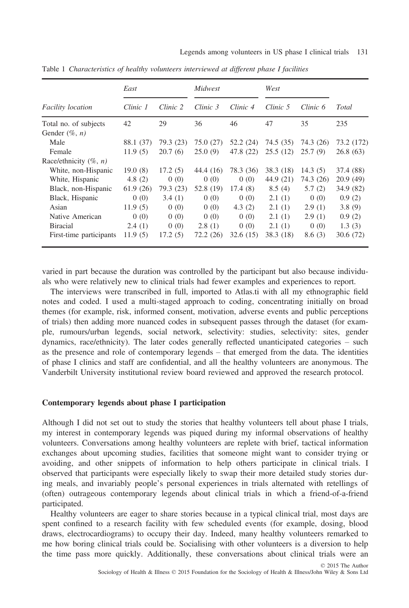|                                   | East      |           | Midwest   |           | West      |           |            |
|-----------------------------------|-----------|-----------|-----------|-----------|-----------|-----------|------------|
| <i>Facility location</i>          | Clinic 1  | Clinic 2  | Clinic 3  | Clinic 4  | Clinic 5  | Clinic 6  | Total      |
| Total no. of subjects             | 42        | 29        | 36        | 46        | 47        | 35        | 235        |
| Gender $(\%$ , <i>n</i> )         |           |           |           |           |           |           |            |
| Male                              | 88.1 (37) | 79.3 (23) | 75.0 (27) | 52.2(24)  | 74.5 (35) | 74.3 (26) | 73.2 (172) |
| Female                            | 11.9(5)   | 20.7(6)   | 25.0(9)   | 47.8 (22) | 25.5(12)  | 25.7(9)   | 26.8(63)   |
| Race/ethnicity $(\%$ , <i>n</i> ) |           |           |           |           |           |           |            |
| White, non-Hispanic               | 19.0(8)   | 17.2(5)   | 44.4 (16) | 78.3 (36) | 38.3 (18) | 14.3(5)   | 37.4 (88)  |
| White, Hispanic                   | 4.8 $(2)$ | 0(0)      | 0(0)      | 0(0)      | 44.9 (21) | 74.3 (26) | 20.9(49)   |
| Black, non-Hispanic               | 61.9(26)  | 79.3 (23) | 52.8 (19) | 17.4(8)   | 8.5(4)    | 5.7(2)    | 34.9 (82)  |
| Black, Hispanic                   | 0(0)      | 3.4(1)    | 0(0)      | 0(0)      | 2.1(1)    | 0(0)      | 0.9(2)     |
| Asian                             | 11.9(5)   | 0(0)      | 0(0)      | 4.3(2)    | 2.1(1)    | 2.9(1)    | 3.8(9)     |
| Native American                   | 0(0)      | 0(0)      | 0(0)      | 0(0)      | 2.1(1)    | 2.9(1)    | 0.9(2)     |
| <b>Biracial</b>                   | 2.4(1)    | 0(0)      | 2.8(1)    | 0(0)      | 2.1(1)    | 0(0)      | 1.3(3)     |
| First-time participants           | 11.9(5)   | 17.2(5)   | 72.2 (26) | 32.6(15)  | 38.3(18)  | 8.6(3)    | 30.6 (72)  |

Table 1 Characteristics of healthy volunteers interviewed at different phase I facilities

varied in part because the duration was controlled by the participant but also because individuals who were relatively new to clinical trials had fewer examples and experiences to report.

The interviews were transcribed in full, imported to Atlas.ti with all my ethnographic field notes and coded. I used a multi-staged approach to coding, concentrating initially on broad themes (for example, risk, informed consent, motivation, adverse events and public perceptions of trials) then adding more nuanced codes in subsequent passes through the dataset (for example, rumours/urban legends, social network, selectivity: studies, selectivity: sites, gender dynamics, race/ethnicity). The later codes generally reflected unanticipated categories – such as the presence and role of contemporary legends – that emerged from the data. The identities of phase I clinics and staff are confidential, and all the healthy volunteers are anonymous. The Vanderbilt University institutional review board reviewed and approved the research protocol.

#### Contemporary legends about phase I participation

Although I did not set out to study the stories that healthy volunteers tell about phase I trials, my interest in contemporary legends was piqued during my informal observations of healthy volunteers. Conversations among healthy volunteers are replete with brief, tactical information exchanges about upcoming studies, facilities that someone might want to consider trying or avoiding, and other snippets of information to help others participate in clinical trials. I observed that participants were especially likely to swap their more detailed study stories during meals, and invariably people's personal experiences in trials alternated with retellings of (often) outrageous contemporary legends about clinical trials in which a friend-of-a-friend participated.

Healthy volunteers are eager to share stories because in a typical clinical trial, most days are spent confined to a research facility with few scheduled events (for example, dosing, blood draws, electrocardiograms) to occupy their day. Indeed, many healthy volunteers remarked to me how boring clinical trials could be. Socialising with other volunteers is a diversion to help the time pass more quickly. Additionally, these conversations about clinical trials were an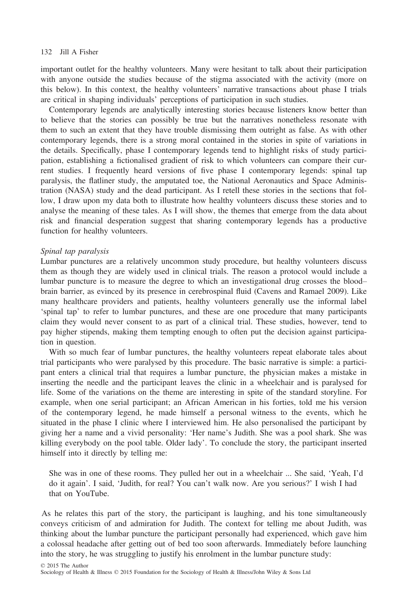important outlet for the healthy volunteers. Many were hesitant to talk about their participation with anyone outside the studies because of the stigma associated with the activity (more on this below). In this context, the healthy volunteers' narrative transactions about phase I trials are critical in shaping individuals' perceptions of participation in such studies.

Contemporary legends are analytically interesting stories because listeners know better than to believe that the stories can possibly be true but the narratives nonetheless resonate with them to such an extent that they have trouble dismissing them outright as false. As with other contemporary legends, there is a strong moral contained in the stories in spite of variations in the details. Specifically, phase I contemporary legends tend to highlight risks of study participation, establishing a fictionalised gradient of risk to which volunteers can compare their current studies. I frequently heard versions of five phase I contemporary legends: spinal tap paralysis, the flatliner study, the amputated toe, the National Aeronautics and Space Administration (NASA) study and the dead participant. As I retell these stories in the sections that follow, I draw upon my data both to illustrate how healthy volunteers discuss these stories and to analyse the meaning of these tales. As I will show, the themes that emerge from the data about risk and financial desperation suggest that sharing contemporary legends has a productive function for healthy volunteers.

#### Spinal tap paralysis

Lumbar punctures are a relatively uncommon study procedure, but healthy volunteers discuss them as though they are widely used in clinical trials. The reason a protocol would include a lumbar puncture is to measure the degree to which an investigational drug crosses the blood– brain barrier, as evinced by its presence in cerebrospinal fluid (Cavens and Ramael 2009). Like many healthcare providers and patients, healthy volunteers generally use the informal label 'spinal tap' to refer to lumbar punctures, and these are one procedure that many participants claim they would never consent to as part of a clinical trial. These studies, however, tend to pay higher stipends, making them tempting enough to often put the decision against participation in question.

With so much fear of lumbar punctures, the healthy volunteers repeat elaborate tales about trial participants who were paralysed by this procedure. The basic narrative is simple: a participant enters a clinical trial that requires a lumbar puncture, the physician makes a mistake in inserting the needle and the participant leaves the clinic in a wheelchair and is paralysed for life. Some of the variations on the theme are interesting in spite of the standard storyline. For example, when one serial participant; an African American in his forties, told me his version of the contemporary legend, he made himself a personal witness to the events, which he situated in the phase I clinic where I interviewed him. He also personalised the participant by giving her a name and a vivid personality: 'Her name's Judith. She was a pool shark. She was killing everybody on the pool table. Older lady'. To conclude the story, the participant inserted himself into it directly by telling me:

She was in one of these rooms. They pulled her out in a wheelchair ... She said, 'Yeah, I'd do it again'. I said, 'Judith, for real? You can't walk now. Are you serious?' I wish I had that on YouTube.

As he relates this part of the story, the participant is laughing, and his tone simultaneously conveys criticism of and admiration for Judith. The context for telling me about Judith, was thinking about the lumbar puncture the participant personally had experienced, which gave him a colossal headache after getting out of bed too soon afterwards. Immediately before launching into the story, he was struggling to justify his enrolment in the lumbar puncture study: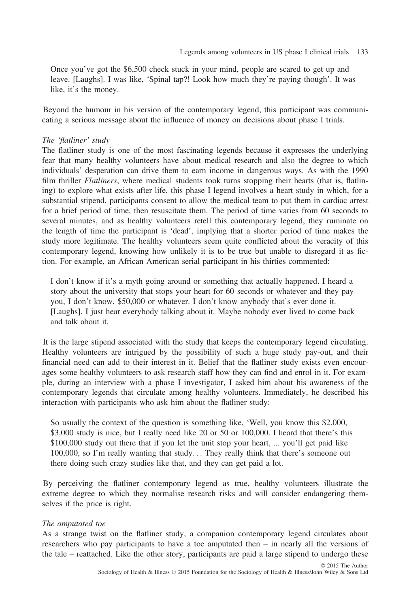Once you've got the \$6,500 check stuck in your mind, people are scared to get up and leave. [Laughs]. I was like, 'Spinal tap?! Look how much they're paying though'. It was like, it's the money.

Beyond the humour in his version of the contemporary legend, this participant was communicating a serious message about the influence of money on decisions about phase I trials.

# The 'flatliner' study

The flatliner study is one of the most fascinating legends because it expresses the underlying fear that many healthy volunteers have about medical research and also the degree to which individuals' desperation can drive them to earn income in dangerous ways. As with the 1990 film thriller Flatliners, where medical students took turns stopping their hearts (that is, flatlining) to explore what exists after life, this phase I legend involves a heart study in which, for a substantial stipend, participants consent to allow the medical team to put them in cardiac arrest for a brief period of time, then resuscitate them. The period of time varies from 60 seconds to several minutes, and as healthy volunteers retell this contemporary legend, they ruminate on the length of time the participant is 'dead', implying that a shorter period of time makes the study more legitimate. The healthy volunteers seem quite conflicted about the veracity of this contemporary legend, knowing how unlikely it is to be true but unable to disregard it as fiction. For example, an African American serial participant in his thirties commented:

I don't know if it's a myth going around or something that actually happened. I heard a story about the university that stops your heart for 60 seconds or whatever and they pay you, I don't know, \$50,000 or whatever. I don't know anybody that's ever done it. [Laughs]. I just hear everybody talking about it. Maybe nobody ever lived to come back and talk about it.

It is the large stipend associated with the study that keeps the contemporary legend circulating. Healthy volunteers are intrigued by the possibility of such a huge study pay-out, and their financial need can add to their interest in it. Belief that the flatliner study exists even encourages some healthy volunteers to ask research staff how they can find and enrol in it. For example, during an interview with a phase I investigator, I asked him about his awareness of the contemporary legends that circulate among healthy volunteers. Immediately, he described his interaction with participants who ask him about the flatliner study:

So usually the context of the question is something like, 'Well, you know this \$2,000, \$3,000 study is nice, but I really need like 20 or 50 or 100,000. I heard that there's this \$100,000 study out there that if you let the unit stop your heart, ... you'll get paid like 100,000, so I'm really wanting that study... They really think that there's someone out there doing such crazy studies like that, and they can get paid a lot.

By perceiving the flatliner contemporary legend as true, healthy volunteers illustrate the extreme degree to which they normalise research risks and will consider endangering themselves if the price is right.

# The amputated toe

As a strange twist on the flatliner study, a companion contemporary legend circulates about researchers who pay participants to have a toe amputated then – in nearly all the versions of the tale – reattached. Like the other story, participants are paid a large stipend to undergo these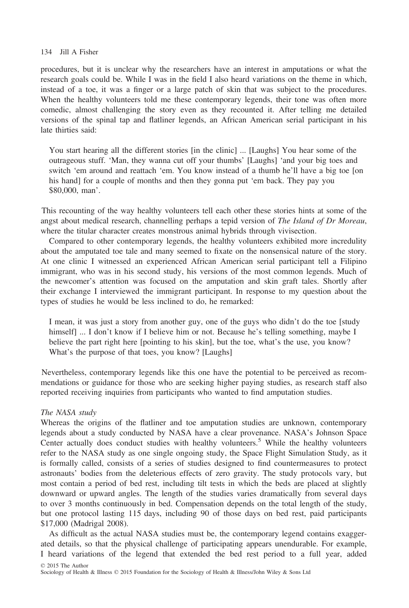procedures, but it is unclear why the researchers have an interest in amputations or what the research goals could be. While I was in the field I also heard variations on the theme in which, instead of a toe, it was a finger or a large patch of skin that was subject to the procedures. When the healthy volunteers told me these contemporary legends, their tone was often more comedic, almost challenging the story even as they recounted it. After telling me detailed versions of the spinal tap and flatliner legends, an African American serial participant in his late thirties said:

You start hearing all the different stories [in the clinic] ... [Laughs] You hear some of the outrageous stuff. 'Man, they wanna cut off your thumbs' [Laughs] 'and your big toes and switch 'em around and reattach 'em. You know instead of a thumb he'll have a big toe [on his hand] for a couple of months and then they gonna put 'em back. They pay you \$80,000, man'.

This recounting of the way healthy volunteers tell each other these stories hints at some of the angst about medical research, channelling perhaps a tepid version of The Island of Dr Moreau, where the titular character creates monstrous animal hybrids through vivisection.

Compared to other contemporary legends, the healthy volunteers exhibited more incredulity about the amputated toe tale and many seemed to fixate on the nonsensical nature of the story. At one clinic I witnessed an experienced African American serial participant tell a Filipino immigrant, who was in his second study, his versions of the most common legends. Much of the newcomer's attention was focused on the amputation and skin graft tales. Shortly after their exchange I interviewed the immigrant participant. In response to my question about the types of studies he would be less inclined to do, he remarked:

I mean, it was just a story from another guy, one of the guys who didn't do the toe [study himself] ... I don't know if I believe him or not. Because he's telling something, maybe I believe the part right here [pointing to his skin], but the toe, what's the use, you know? What's the purpose of that toes, you know? [Laughs]

Nevertheless, contemporary legends like this one have the potential to be perceived as recommendations or guidance for those who are seeking higher paying studies, as research staff also reported receiving inquiries from participants who wanted to find amputation studies.

#### The NASA study

Whereas the origins of the flatliner and toe amputation studies are unknown, contemporary legends about a study conducted by NASA have a clear provenance. NASA's Johnson Space Center actually does conduct studies with healthy volunteers.<sup>5</sup> While the healthy volunteers refer to the NASA study as one single ongoing study, the Space Flight Simulation Study, as it is formally called, consists of a series of studies designed to find countermeasures to protect astronauts' bodies from the deleterious effects of zero gravity. The study protocols vary, but most contain a period of bed rest, including tilt tests in which the beds are placed at slightly downward or upward angles. The length of the studies varies dramatically from several days to over 3 months continuously in bed. Compensation depends on the total length of the study, but one protocol lasting 115 days, including 90 of those days on bed rest, paid participants \$17,000 (Madrigal 2008).

As difficult as the actual NASA studies must be, the contemporary legend contains exaggerated details, so that the physical challenge of participating appears unendurable. For example, I heard variations of the legend that extended the bed rest period to a full year, added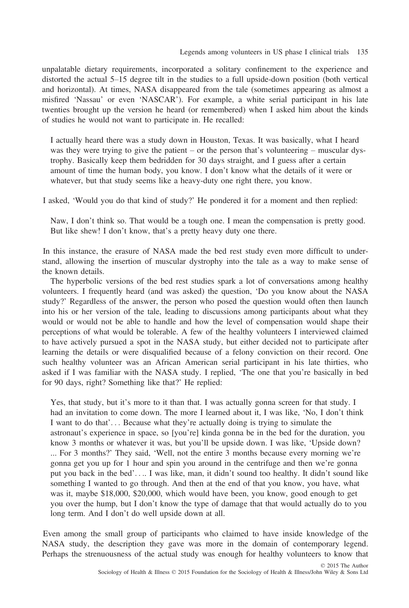unpalatable dietary requirements, incorporated a solitary confinement to the experience and distorted the actual 5–15 degree tilt in the studies to a full upside-down position (both vertical and horizontal). At times, NASA disappeared from the tale (sometimes appearing as almost a misfired 'Nassau' or even 'NASCAR'). For example, a white serial participant in his late twenties brought up the version he heard (or remembered) when I asked him about the kinds of studies he would not want to participate in. He recalled:

I actually heard there was a study down in Houston, Texas. It was basically, what I heard was they were trying to give the patient – or the person that's volunteering – muscular dystrophy. Basically keep them bedridden for 30 days straight, and I guess after a certain amount of time the human body, you know. I don't know what the details of it were or whatever, but that study seems like a heavy-duty one right there, you know.

I asked, 'Would you do that kind of study?' He pondered it for a moment and then replied:

Naw, I don't think so. That would be a tough one. I mean the compensation is pretty good. But like shew! I don't know, that's a pretty heavy duty one there.

In this instance, the erasure of NASA made the bed rest study even more difficult to understand, allowing the insertion of muscular dystrophy into the tale as a way to make sense of the known details.

The hyperbolic versions of the bed rest studies spark a lot of conversations among healthy volunteers. I frequently heard (and was asked) the question, 'Do you know about the NASA study?' Regardless of the answer, the person who posed the question would often then launch into his or her version of the tale, leading to discussions among participants about what they would or would not be able to handle and how the level of compensation would shape their perceptions of what would be tolerable. A few of the healthy volunteers I interviewed claimed to have actively pursued a spot in the NASA study, but either decided not to participate after learning the details or were disqualified because of a felony conviction on their record. One such healthy volunteer was an African American serial participant in his late thirties, who asked if I was familiar with the NASA study. I replied, 'The one that you're basically in bed for 90 days, right? Something like that?' He replied:

Yes, that study, but it's more to it than that. I was actually gonna screen for that study. I had an invitation to come down. The more I learned about it, I was like, 'No, I don't think I want to do that'... Because what they're actually doing is trying to simulate the astronaut's experience in space, so [you're] kinda gonna be in the bed for the duration, you know 3 months or whatever it was, but you'll be upside down. I was like, 'Upside down? ... For 3 months?' They said, 'Well, not the entire 3 months because every morning we're gonna get you up for 1 hour and spin you around in the centrifuge and then we're gonna put you back in the bed'.... I was like, man, it didn't sound too healthy. It didn't sound like something I wanted to go through. And then at the end of that you know, you have, what was it, maybe \$18,000, \$20,000, which would have been, you know, good enough to get you over the hump, but I don't know the type of damage that that would actually do to you long term. And I don't do well upside down at all.

Even among the small group of participants who claimed to have inside knowledge of the NASA study, the description they gave was more in the domain of contemporary legend. Perhaps the strenuousness of the actual study was enough for healthy volunteers to know that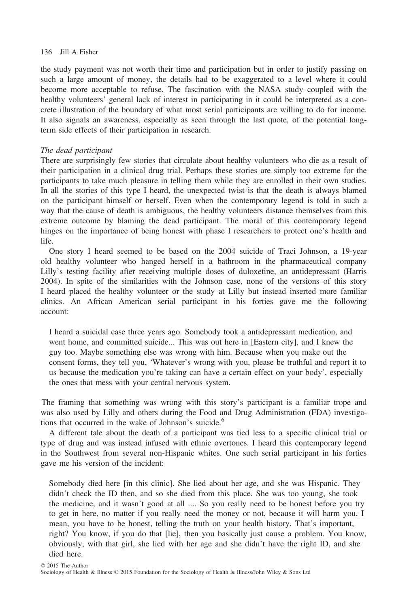the study payment was not worth their time and participation but in order to justify passing on such a large amount of money, the details had to be exaggerated to a level where it could become more acceptable to refuse. The fascination with the NASA study coupled with the healthy volunteers' general lack of interest in participating in it could be interpreted as a concrete illustration of the boundary of what most serial participants are willing to do for income. It also signals an awareness, especially as seen through the last quote, of the potential longterm side effects of their participation in research.

## The dead participant

There are surprisingly few stories that circulate about healthy volunteers who die as a result of their participation in a clinical drug trial. Perhaps these stories are simply too extreme for the participants to take much pleasure in telling them while they are enrolled in their own studies. In all the stories of this type I heard, the unexpected twist is that the death is always blamed on the participant himself or herself. Even when the contemporary legend is told in such a way that the cause of death is ambiguous, the healthy volunteers distance themselves from this extreme outcome by blaming the dead participant. The moral of this contemporary legend hinges on the importance of being honest with phase I researchers to protect one's health and life.

One story I heard seemed to be based on the 2004 suicide of Traci Johnson, a 19-year old healthy volunteer who hanged herself in a bathroom in the pharmaceutical company Lilly's testing facility after receiving multiple doses of duloxetine, an antidepressant (Harris 2004). In spite of the similarities with the Johnson case, none of the versions of this story I heard placed the healthy volunteer or the study at Lilly but instead inserted more familiar clinics. An African American serial participant in his forties gave me the following account:

I heard a suicidal case three years ago. Somebody took a antidepressant medication, and went home, and committed suicide... This was out here in [Eastern city], and I knew the guy too. Maybe something else was wrong with him. Because when you make out the consent forms, they tell you, 'Whatever's wrong with you, please be truthful and report it to us because the medication you're taking can have a certain effect on your body', especially the ones that mess with your central nervous system.

The framing that something was wrong with this story's participant is a familiar trope and was also used by Lilly and others during the Food and Drug Administration (FDA) investigations that occurred in the wake of Johnson's suicide.<sup>6</sup>

A different tale about the death of a participant was tied less to a specific clinical trial or type of drug and was instead infused with ethnic overtones. I heard this contemporary legend in the Southwest from several non-Hispanic whites. One such serial participant in his forties gave me his version of the incident:

Somebody died here [in this clinic]. She lied about her age, and she was Hispanic. They didn't check the ID then, and so she died from this place. She was too young, she took the medicine, and it wasn't good at all .... So you really need to be honest before you try to get in here, no matter if you really need the money or not, because it will harm you. I mean, you have to be honest, telling the truth on your health history. That's important, right? You know, if you do that [lie], then you basically just cause a problem. You know, obviously, with that girl, she lied with her age and she didn't have the right ID, and she died here.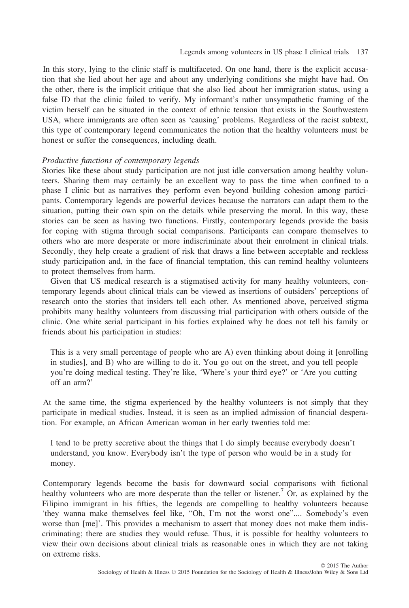In this story, lying to the clinic staff is multifaceted. On one hand, there is the explicit accusation that she lied about her age and about any underlying conditions she might have had. On the other, there is the implicit critique that she also lied about her immigration status, using a false ID that the clinic failed to verify. My informant's rather unsympathetic framing of the victim herself can be situated in the context of ethnic tension that exists in the Southwestern USA, where immigrants are often seen as 'causing' problems. Regardless of the racist subtext, this type of contemporary legend communicates the notion that the healthy volunteers must be honest or suffer the consequences, including death.

#### Productive functions of contemporary legends

Stories like these about study participation are not just idle conversation among healthy volunteers. Sharing them may certainly be an excellent way to pass the time when confined to a phase I clinic but as narratives they perform even beyond building cohesion among participants. Contemporary legends are powerful devices because the narrators can adapt them to the situation, putting their own spin on the details while preserving the moral. In this way, these stories can be seen as having two functions. Firstly, contemporary legends provide the basis for coping with stigma through social comparisons. Participants can compare themselves to others who are more desperate or more indiscriminate about their enrolment in clinical trials. Secondly, they help create a gradient of risk that draws a line between acceptable and reckless study participation and, in the face of financial temptation, this can remind healthy volunteers to protect themselves from harm.

Given that US medical research is a stigmatised activity for many healthy volunteers, contemporary legends about clinical trials can be viewed as insertions of outsiders' perceptions of research onto the stories that insiders tell each other. As mentioned above, perceived stigma prohibits many healthy volunteers from discussing trial participation with others outside of the clinic. One white serial participant in his forties explained why he does not tell his family or friends about his participation in studies:

This is a very small percentage of people who are A) even thinking about doing it [enrolling in studies], and B) who are willing to do it. You go out on the street, and you tell people you're doing medical testing. They're like, 'Where's your third eye?' or 'Are you cutting off an arm?'

At the same time, the stigma experienced by the healthy volunteers is not simply that they participate in medical studies. Instead, it is seen as an implied admission of financial desperation. For example, an African American woman in her early twenties told me:

I tend to be pretty secretive about the things that I do simply because everybody doesn't understand, you know. Everybody isn't the type of person who would be in a study for money.

Contemporary legends become the basis for downward social comparisons with fictional healthy volunteers who are more desperate than the teller or listener.<sup>7</sup> Or, as explained by the Filipino immigrant in his fifties, the legends are compelling to healthy volunteers because 'they wanna make themselves feel like, "Oh, I'm not the worst one".... Somebody's even worse than [me]'. This provides a mechanism to assert that money does not make them indiscriminating; there are studies they would refuse. Thus, it is possible for healthy volunteers to view their own decisions about clinical trials as reasonable ones in which they are not taking on extreme risks.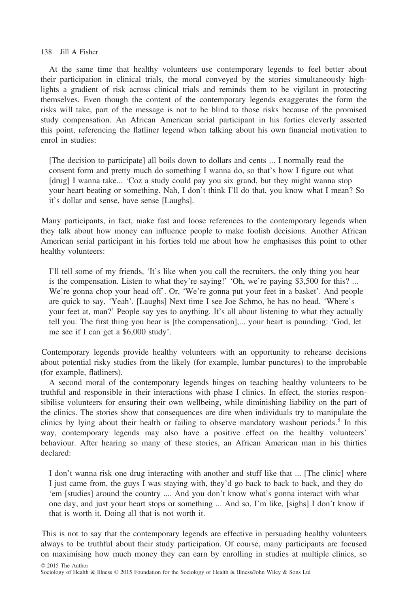At the same time that healthy volunteers use contemporary legends to feel better about their participation in clinical trials, the moral conveyed by the stories simultaneously highlights a gradient of risk across clinical trials and reminds them to be vigilant in protecting themselves. Even though the content of the contemporary legends exaggerates the form the risks will take, part of the message is not to be blind to those risks because of the promised study compensation. An African American serial participant in his forties cleverly asserted this point, referencing the flatliner legend when talking about his own financial motivation to enrol in studies:

[The decision to participate] all boils down to dollars and cents ... I normally read the consent form and pretty much do something I wanna do, so that's how I figure out what [drug] I wanna take... 'Coz a study could pay you six grand, but they might wanna stop your heart beating or something. Nah, I don't think I'll do that, you know what I mean? So it's dollar and sense, have sense [Laughs].

Many participants, in fact, make fast and loose references to the contemporary legends when they talk about how money can influence people to make foolish decisions. Another African American serial participant in his forties told me about how he emphasises this point to other healthy volunteers:

I'll tell some of my friends, 'It's like when you call the recruiters, the only thing you hear is the compensation. Listen to what they're saying!' 'Oh, we're paying \$3,500 for this? ... We're gonna chop your head off'. Or, 'We're gonna put your feet in a basket'. And people are quick to say, 'Yeah'. [Laughs] Next time I see Joe Schmo, he has no head. 'Where's your feet at, man?' People say yes to anything. It's all about listening to what they actually tell you. The first thing you hear is [the compensation],... your heart is pounding: 'God, let me see if I can get a \$6,000 study'.

Contemporary legends provide healthy volunteers with an opportunity to rehearse decisions about potential risky studies from the likely (for example, lumbar punctures) to the improbable (for example, flatliners).

A second moral of the contemporary legends hinges on teaching healthy volunteers to be truthful and responsible in their interactions with phase I clinics. In effect, the stories responsibilise volunteers for ensuring their own wellbeing, while diminishing liability on the part of the clinics. The stories show that consequences are dire when individuals try to manipulate the clinics by lying about their health or failing to observe mandatory washout periods.<sup>8</sup> In this way, contemporary legends may also have a positive effect on the healthy volunteers' behaviour. After hearing so many of these stories, an African American man in his thirties declared:

I don't wanna risk one drug interacting with another and stuff like that ... [The clinic] where I just came from, the guys I was staying with, they'd go back to back to back, and they do 'em [studies] around the country .... And you don't know what's gonna interact with what one day, and just your heart stops or something ... And so, I'm like, [sighs] I don't know if that is worth it. Doing all that is not worth it.

This is not to say that the contemporary legends are effective in persuading healthy volunteers always to be truthful about their study participation. Of course, many participants are focused on maximising how much money they can earn by enrolling in studies at multiple clinics, so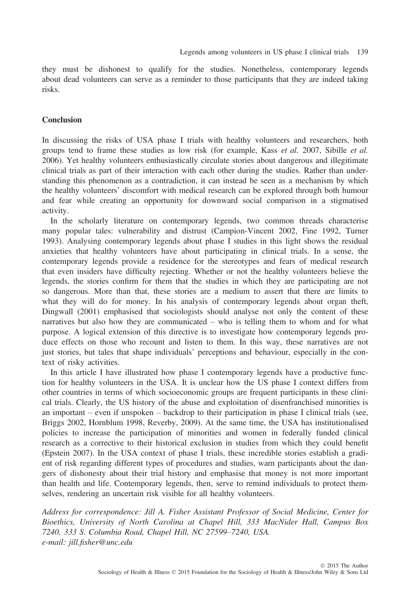they must be dishonest to qualify for the studies. Nonetheless, contemporary legends about dead volunteers can serve as a reminder to those participants that they are indeed taking risks.

## **Conclusion**

In discussing the risks of USA phase I trials with healthy volunteers and researchers, both groups tend to frame these studies as low risk (for example, Kass et al. 2007, Sibille et al. 2006). Yet healthy volunteers enthusiastically circulate stories about dangerous and illegitimate clinical trials as part of their interaction with each other during the studies. Rather than understanding this phenomenon as a contradiction, it can instead be seen as a mechanism by which the healthy volunteers' discomfort with medical research can be explored through both humour and fear while creating an opportunity for downward social comparison in a stigmatised activity.

In the scholarly literature on contemporary legends, two common threads characterise many popular tales: vulnerability and distrust (Campion-Vincent 2002, Fine 1992, Turner 1993). Analysing contemporary legends about phase I studies in this light shows the residual anxieties that healthy volunteers have about participating in clinical trials. In a sense, the contemporary legends provide a residence for the stereotypes and fears of medical research that even insiders have difficulty rejecting. Whether or not the healthy volunteers believe the legends, the stories confirm for them that the studies in which they are participating are not so dangerous. More than that, these stories are a medium to assert that there are limits to what they will do for money. In his analysis of contemporary legends about organ theft, Dingwall (2001) emphasised that sociologists should analyse not only the content of these narratives but also how they are communicated – who is telling them to whom and for what purpose. A logical extension of this directive is to investigate how contemporary legends produce effects on those who recount and listen to them. In this way, these narratives are not just stories, but tales that shape individuals' perceptions and behaviour, especially in the context of risky activities.

In this article I have illustrated how phase I contemporary legends have a productive function for healthy volunteers in the USA. It is unclear how the US phase I context differs from other countries in terms of which socioeconomic groups are frequent participants in these clinical trials. Clearly, the US history of the abuse and exploitation of disenfranchised minorities is an important – even if unspoken – backdrop to their participation in phase I clinical trials (see, Briggs 2002, Hornblum 1998, Reverby, 2009). At the same time, the USA has institutionalised policies to increase the participation of minorities and women in federally funded clinical research as a corrective to their historical exclusion in studies from which they could benefit (Epstein 2007). In the USA context of phase I trials, these incredible stories establish a gradient of risk regarding different types of procedures and studies, warn participants about the dangers of dishonesty about their trial history and emphasise that money is not more important than health and life. Contemporary legends, then, serve to remind individuals to protect themselves, rendering an uncertain risk visible for all healthy volunteers.

Address for correspondence: Jill A. Fisher Assistant Professor of Social Medicine, Center for Bioethics, University of North Carolina at Chapel Hill, 333 MacNider Hall, Campus Box 7240, 333 S. Columbia Road, Chapel Hill, NC 27599–7240, USA. e-mail: jill.fisher@unc.edu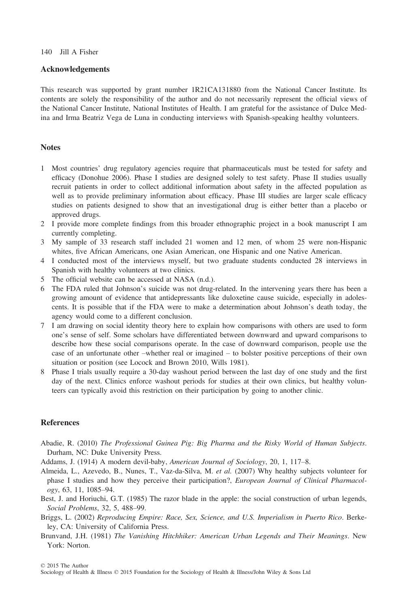# Acknowledgements

This research was supported by grant number 1R21CA131880 from the National Cancer Institute. Its contents are solely the responsibility of the author and do not necessarily represent the official views of the National Cancer Institute, National Institutes of Health. I am grateful for the assistance of Dulce Medina and Irma Beatriz Vega de Luna in conducting interviews with Spanish-speaking healthy volunteers.

# **Notes**

- 1 Most countries' drug regulatory agencies require that pharmaceuticals must be tested for safety and efficacy (Donohue 2006). Phase I studies are designed solely to test safety. Phase II studies usually recruit patients in order to collect additional information about safety in the affected population as well as to provide preliminary information about efficacy. Phase III studies are larger scale efficacy studies on patients designed to show that an investigational drug is either better than a placebo or approved drugs.
- 2 I provide more complete findings from this broader ethnographic project in a book manuscript I am currently completing.
- 3 My sample of 33 research staff included 21 women and 12 men, of whom 25 were non-Hispanic whites, five African Americans, one Asian American, one Hispanic and one Native American.
- 4 I conducted most of the interviews myself, but two graduate students conducted 28 interviews in Spanish with healthy volunteers at two clinics.
- 5 The official website can be accessed at NASA (n.d.).
- 6 The FDA ruled that Johnson's suicide was not drug-related. In the intervening years there has been a growing amount of evidence that antidepressants like duloxetine cause suicide, especially in adolescents. It is possible that if the FDA were to make a determination about Johnson's death today, the agency would come to a different conclusion.
- 7 I am drawing on social identity theory here to explain how comparisons with others are used to form one's sense of self. Some scholars have differentiated between downward and upward comparisons to describe how these social comparisons operate. In the case of downward comparison, people use the case of an unfortunate other –whether real or imagined – to bolster positive perceptions of their own situation or position (see Locock and Brown 2010, Wills 1981).
- 8 Phase I trials usually require a 30-day washout period between the last day of one study and the first day of the next. Clinics enforce washout periods for studies at their own clinics, but healthy volunteers can typically avoid this restriction on their participation by going to another clinic.

# References

- Abadie, R. (2010) The Professional Guinea Pig: Big Pharma and the Risky World of Human Subjects. Durham, NC: Duke University Press.
- Addams, J. (1914) A modern devil-baby, American Journal of Sociology, 20, 1, 117-8.
- Almeida, L., Azevedo, B., Nunes, T., Vaz-da-Silva, M. et al. (2007) Why healthy subjects volunteer for phase I studies and how they perceive their participation?, European Journal of Clinical Pharmacology, 63, 11, 1085–94.
- Best, J. and Horiuchi, G.T. (1985) The razor blade in the apple: the social construction of urban legends, Social Problems, 32, 5, 488–99.
- Briggs, L. (2002) Reproducing Empire: Race, Sex, Science, and U.S. Imperialism in Puerto Rico. Berkeley, CA: University of California Press.
- Brunvand, J.H. (1981) The Vanishing Hitchhiker: American Urban Legends and Their Meanings. New York: Norton.

© 2015 The Author

Sociology of Health & Illness © 2015 Foundation for the Sociology of Health & Illness/John Wiley & Sons Ltd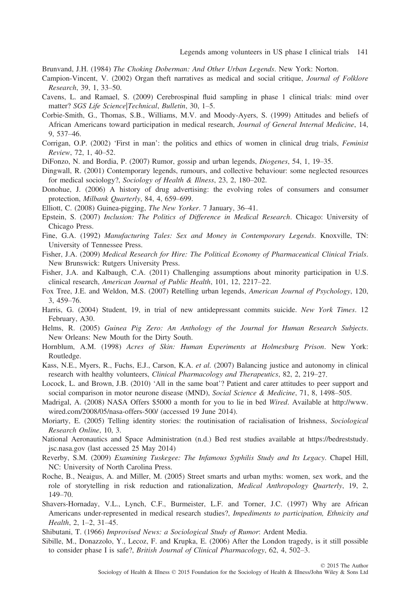Brunvand, J.H. (1984) The Choking Doberman: And Other Urban Legends. New York: Norton.

- Campion-Vincent, V. (2002) Organ theft narratives as medical and social critique, Journal of Folklore Research, 39, 1, 33–50.
- Cavens, L. and Ramael, S. (2009) Cerebrospinal fluid sampling in phase 1 clinical trials: mind over matter? SGS Life Science|Technical, Bulletin, 30, 1–5.
- Corbie-Smith, G., Thomas, S.B., Williams, M.V. and Moody-Ayers, S. (1999) Attitudes and beliefs of African Americans toward participation in medical research, Journal of General Internal Medicine, 14, 9, 537–46.
- Corrigan, O.P. (2002) 'First in man': the politics and ethics of women in clinical drug trials, Feminist Review, 72, 1, 40–52.
- DiFonzo, N. and Bordia, P. (2007) Rumor, gossip and urban legends, Diogenes, 54, 1, 19–35.
- Dingwall, R. (2001) Contemporary legends, rumours, and collective behaviour: some neglected resources for medical sociology?, Sociology of Health & Illness, 23, 2, 180–202.
- Donohue, J. (2006) A history of drug advertising: the evolving roles of consumers and consumer protection, Milbank Quarterly, 84, 4, 659–699.
- Elliott, C. (2008) Guinea-pigging, The New Yorker. 7 January, 36–41.
- Epstein, S. (2007) Inclusion: The Politics of Difference in Medical Research. Chicago: University of Chicago Press.
- Fine, G.A. (1992) Manufacturing Tales: Sex and Money in Contemporary Legends. Knoxville, TN: University of Tennessee Press.
- Fisher, J.A. (2009) Medical Research for Hire: The Political Economy of Pharmaceutical Clinical Trials. New Brunswick: Rutgers University Press.
- Fisher, J.A. and Kalbaugh, C.A. (2011) Challenging assumptions about minority participation in U.S. clinical research, American Journal of Public Health, 101, 12, 2217–22.
- Fox Tree, J.E. and Weldon, M.S. (2007) Retelling urban legends, American Journal of Psychology, 120, 3, 459–76.
- Harris, G. (2004) Student, 19, in trial of new antidepressant commits suicide. New York Times. 12 February, A30.
- Helms, R. (2005) Guinea Pig Zero: An Anthology of the Journal for Human Research Subjects. New Orleans: New Mouth for the Dirty South.
- Hornblum, A.M. (1998) Acres of Skin: Human Experiments at Holmesburg Prison. New York: Routledge.
- Kass, N.E., Myers, R., Fuchs, E.J., Carson, K.A. et al. (2007) Balancing justice and autonomy in clinical research with healthy volunteers, *Clinical Pharmacology and Therapeutics*, 82, 2, 219–27.
- Locock, L. and Brown, J.B. (2010) 'All in the same boat'? Patient and carer attitudes to peer support and social comparison in motor neurone disease (MND), Social Science & Medicine, 71, 8, 1498–505.
- Madrigal, A. (2008) NASA Offers \$5000 a month for you to lie in bed Wired. Available at http://www. wired.com/2008/05/nasa-offers-500/ (accessed 19 June 2014).
- Moriarty, E. (2005) Telling identity stories: the routinisation of racialisation of Irishness, Sociological Research Online, 10, 3.
- National Aeronautics and Space Administration (n.d.) Bed rest studies available at https://bedreststudy. jsc.nasa.gov (last accessed 25 May 2014)
- Reverby, S.M. (2009) Examining Tuskegee: The Infamous Syphilis Study and Its Legacy. Chapel Hill, NC: University of North Carolina Press.
- Roche, B., Neaigus, A. and Miller, M. (2005) Street smarts and urban myths: women, sex work, and the role of storytelling in risk reduction and rationalization, Medical Anthropology Quarterly, 19, 2, 149–70.
- Shavers-Hornaday, V.L., Lynch, C.F., Burmeister, L.F. and Torner, J.C. (1997) Why are African Americans under-represented in medical research studies?, Impediments to participation, Ethnicity and Health, 2, 1–2, 31–45.
- Shibutani, T. (1966) Improvised News: a Sociological Study of Rumor: Ardent Media.
- Sibille, M., Donazzolo, Y., Lecoz, F. and Krupka, E. (2006) After the London tragedy, is it still possible to consider phase I is safe?, British Journal of Clinical Pharmacology, 62, 4, 502–3.